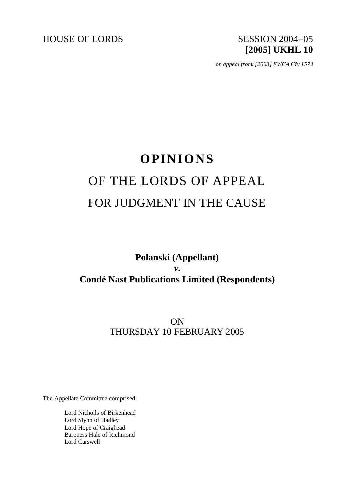HOUSE OF LORDS SESSION 2004-05

# **[2005] UKHL 10**

*on appeal from: [2003] EWCA Civ 1573*

## **OPINIONS** OF THE LORDS OF APPEAL FOR JUDGMENT IN THE CAUSE

### **Polanski (Appellant)** *v.* **Condé Nast Publications Limited (Respondents)**

ON THURSDAY 10 FEBRUARY 2005

The Appellate Committee comprised:

Lord Nicholls of Birkenhead Lord Slynn of Hadley Lord Hope of Craighead Baroness Hale of Richmond Lord Carswell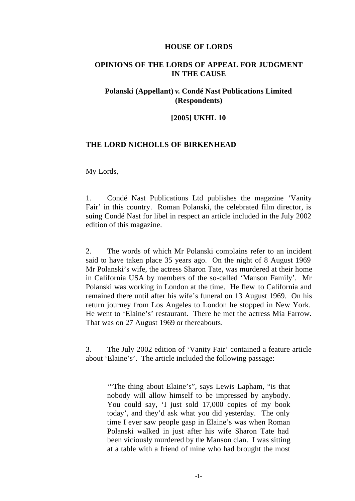#### **HOUSE OF LORDS**

#### **OPINIONS OF THE LORDS OF APPEAL FOR JUDGMENT IN THE CAUSE**

#### **Polanski (Appellant)** *v.* **Condé Nast Publications Limited (Respondents)**

#### **[2005] UKHL 10**

#### **THE LORD NICHOLLS OF BIRKENHEAD**

My Lords,

1. Condé Nast Publications Ltd publishes the magazine 'Vanity Fair' in this country. Roman Polanski, the celebrated film director, is suing Condé Nast for libel in respect an article included in the July 2002 edition of this magazine.

2. The words of which Mr Polanski complains refer to an incident said to have taken place 35 years ago. On the night of 8 August 1969 Mr Polanski's wife, the actress Sharon Tate, was murdered at their home in California USA by members of the so-called 'Manson Family'. Mr Polanski was working in London at the time. He flew to California and remained there until after his wife's funeral on 13 August 1969. On his return journey from Los Angeles to London he stopped in New York. He went to 'Elaine's' restaurant. There he met the actress Mia Farrow. That was on 27 August 1969 or thereabouts.

3. The July 2002 edition of 'Vanity Fair' contained a feature article about 'Elaine's'. The article included the following passage:

'"The thing about Elaine's", says Lewis Lapham, "is that nobody will allow himself to be impressed by anybody. You could say, 'I just sold 17,000 copies of my book today', and they'd ask what you did yesterday. The only time I ever saw people gasp in Elaine's was when Roman Polanski walked in just after his wife Sharon Tate had been viciously murdered by the Manson clan. I was sitting at a table with a friend of mine who had brought the most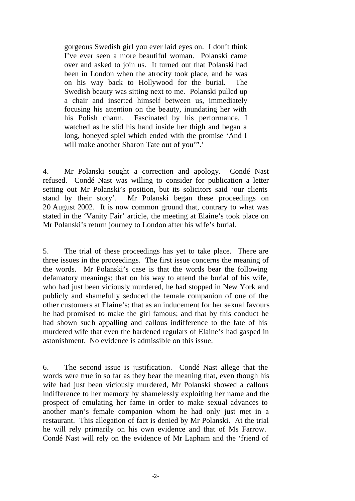gorgeous Swedish girl you ever laid eyes on. I don't think I've ever seen a more beautiful woman. Polanski came over and asked to join us. It turned out that Polanski had been in London when the atrocity took place, and he was on his way back to Hollywood for the burial. The Swedish beauty was sitting next to me. Polanski pulled up a chair and inserted himself between us, immediately focusing his attention on the beauty, inundating her with his Polish charm. Fascinated by his performance, I watched as he slid his hand inside her thigh and began a long, honeyed spiel which ended with the promise 'And I will make another Sharon Tate out of you".'

4. Mr Polanski sought a correction and apology. Condé Nast refused. Condé Nast was willing to consider for publication a letter setting out Mr Polanski's position, but its solicitors said 'our clients stand by their story'. Mr Polanski began these proceedings on 20 August 2002. It is now common ground that, contrary to what was stated in the 'Vanity Fair' article, the meeting at Elaine's took place on Mr Polanski's return journey to London after his wife's burial.

5. The trial of these proceedings has yet to take place. There are three issues in the proceedings. The first issue concerns the meaning of the words. Mr Polanski's case is that the words bear the following defamatory meanings: that on his way to attend the burial of his wife, who had just been viciously murdered, he had stopped in New York and publicly and shamefully seduced the female companion of one of the other customers at Elaine's; that as an inducement for her sexual favours he had promised to make the girl famous; and that by this conduct he had shown such appalling and callous indifference to the fate of his murdered wife that even the hardened regulars of Elaine's had gasped in astonishment. No evidence is admissible on this issue.

6. The second issue is justification. Condé Nast allege that the words were true in so far as they bear the meaning that, even though his wife had just been viciously murdered, Mr Polanski showed a callous indifference to her memory by shamelessly exploiting her name and the prospect of emulating her fame in order to make sexual advances to another man's female companion whom he had only just met in a restaurant. This allegation of fact is denied by Mr Polanski. At the trial he will rely primarily on his own evidence and that of Ms Farrow. Condé Nast will rely on the evidence of Mr Lapham and the 'friend of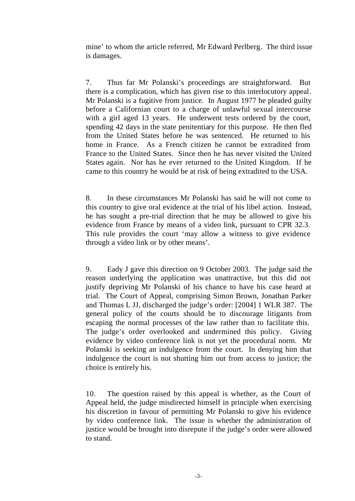mine' to whom the article referred, Mr Edward Perlberg. The third issue is damages.

7. Thus far Mr Polanski's proceedings are straightforward. But there is a complication, which has given rise to this interlocutory appeal. Mr Polanski is a fugitive from justice. In August 1977 he pleaded guilty before a Californian court to a charge of unlawful sexual intercourse with a girl aged 13 years. He underwent tests ordered by the court, spending 42 days in the state penitentiary for this purpose. He then fled from the United States before he was sentenced. He returned to his home in France. As a French citizen he cannot be extradited from France to the United States. Since then he has never visited the United States again. Nor has he ever returned to the United Kingdom. If he came to this country he would be at risk of being extradited to the USA.

8. In these circumstances Mr Polanski has said he will not come to this country to give oral evidence at the trial of his libel action. Instead, he has sought a pre-trial direction that he may be allowed to give his evidence from France by means of a video link, pursuant to CPR 32.3. This rule provides the court 'may allow a witness to give evidence through a video link or by other means'.

9. Eady J gave this direction on 9 October 2003. The judge said the reason underlying the application was unattractive, but this did not justify depriving Mr Polanski of his chance to have his case heard at trial. The Court of Appeal, comprising Simon Brown, Jonathan Parker and Thomas L JJ, discharged the judge's order: [2004] 1 WLR 387. The general policy of the courts should be to discourage litigants from escaping the normal processes of the law rather than to facilitate this. The judge's order overlooked and undermined this policy. Giving evidence by video conference link is not yet the procedural norm. Mr Polanski is seeking an indulgence from the court. In denying him that indulgence the court is not shutting him out from access to justice; the choice is entirely his.

10. The question raised by this appeal is whether, as the Court of Appeal held, the judge misdirected himself in principle when exercising his discretion in favour of permitting Mr Polanski to give his evidence by video conference link. The issue is whether the administration of justice would be brought into disrepute if the judge's order were allowed to stand.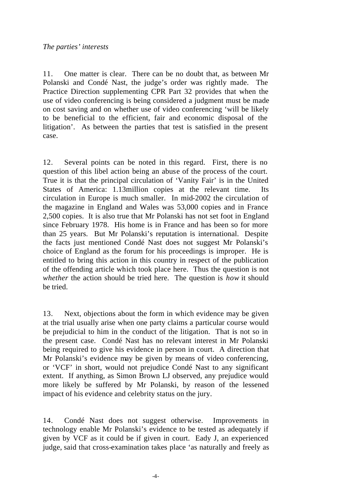#### *The parties' interests*

11. One matter is clear. There can be no doubt that, as between Mr Polanski and Condé Nast, the judge's order was rightly made. The Practice Direction supplementing CPR Part 32 provides that when the use of video conferencing is being considered a judgment must be made on cost saving and on whether use of video conferencing 'will be likely to be beneficial to the efficient, fair and economic disposal of the litigation'. As between the parties that test is satisfied in the present case.

12. Several points can be noted in this regard. First, there is no question of this libel action being an abuse of the process of the court. True it is that the principal circulation of 'Vanity Fair' is in the United States of America: 1.13million copies at the relevant time. Its circulation in Europe is much smaller. In mid-2002 the circulation of the magazine in England and Wales was 53,000 copies and in France 2,500 copies. It is also true that Mr Polanski has not set foot in England since February 1978. His home is in France and has been so for more than 25 years. But Mr Polanski's reputation is international. Despite the facts just mentioned Condé Nast does not suggest Mr Polanski's choice of England as the forum for his proceedings is improper. He is entitled to bring this action in this country in respect of the publication of the offending article which took place here. Thus the question is not *whether* the action should be tried here. The question is *how* it should be tried.

13. Next, objections about the form in which evidence may be given at the trial usually arise when one party claims a particular course would be prejudicial to him in the conduct of the litigation. That is not so in the present case. Condé Nast has no relevant interest in Mr Polanski being required to give his evidence in person in court. A direction that Mr Polanski's evidence may be given by means of video conferencing, or 'VCF' in short, would not prejudice Condé Nast to any significant extent. If anything, as Simon Brown LJ observed, any prejudice would more likely be suffered by Mr Polanski, by reason of the lessened impact of his evidence and celebrity status on the jury.

14. Condé Nast does not suggest otherwise. Improvements in technology enable Mr Polanski's evidence to be tested as adequately if given by VCF as it could be if given in court. Eady J, an experienced judge, said that cross-examination takes place 'as naturally and freely as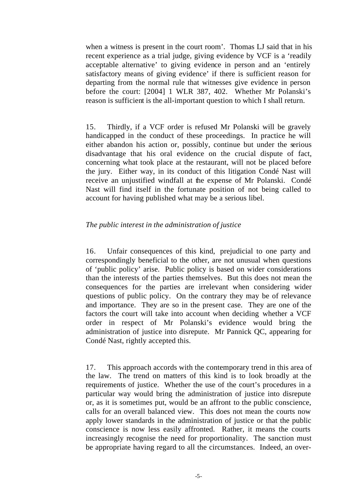when a witness is present in the court room'. Thomas LJ said that in his recent experience as a trial judge, giving evidence by VCF is a 'readily acceptable alternative' to giving evidence in person and an 'entirely satisfactory means of giving evidence' if there is sufficient reason for departing from the normal rule that witnesses give evidence in person before the court: [2004] 1 WLR 387, 402. Whether Mr Polanski's reason is sufficient is the all-important question to which I shall return.

15. Thirdly, if a VCF order is refused Mr Polanski will be gravely handicapped in the conduct of these proceedings. In practice he will either abandon his action or, possibly, continue but under the serious disadvantage that his oral evidence on the crucial dispute of fact, concerning what took place at the restaurant, will not be placed before the jury. Either way, in its conduct of this litigation Condé Nast will receive an unjustified windfall at the expense of Mr Polanski. Condé Nast will find itself in the fortunate position of not being called to account for having published what may be a serious libel.

#### *The public interest in the administration of justice*

16. Unfair consequences of this kind, prejudicial to one party and correspondingly beneficial to the other, are not unusual when questions of 'public policy' arise. Public policy is based on wider considerations than the interests of the parties themselves. But this does not mean the consequences for the parties are irrelevant when considering wider questions of public policy. On the contrary they may be of relevance and importance. They are so in the present case. They are one of the factors the court will take into account when deciding whether a VCF order in respect of Mr Polanski's evidence would bring the administration of justice into disrepute. Mr Pannick QC, appearing for Condé Nast, rightly accepted this.

17. This approach accords with the contemporary trend in this area of the law. The trend on matters of this kind is to look broadly at the requirements of justice. Whether the use of the court's procedures in a particular way would bring the administration of justice into disrepute or, as it is sometimes put, would be an affront to the public conscience, calls for an overall balanced view. This does not mean the courts now apply lower standards in the administration of justice or that the public conscience is now less easily affronted. Rather, it means the courts increasingly recognise the need for proportionality. The sanction must be appropriate having regard to all the circumstances. Indeed, an over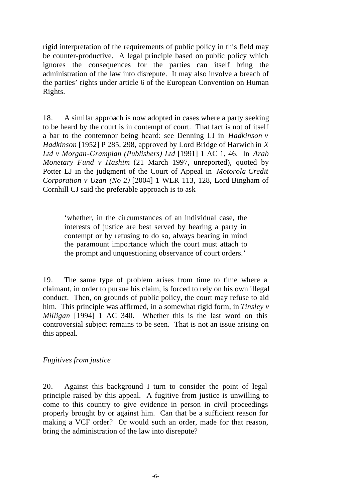rigid interpretation of the requirements of public policy in this field may be counter-productive. A legal principle based on public policy which ignores the consequences for the parties can itself bring the administration of the law into disrepute. It may also involve a breach of the parties' rights under article 6 of the European Convention on Human Rights.

18. A similar approach is now adopted in cases where a party seeking to be heard by the court is in contempt of court. That fact is not of itself a bar to the contemnor being heard: see Denning LJ in *Hadkinson v Hadkinson* [1952] P 285, 298, approved by Lord Bridge of Harwich in *X Ltd v Morgan-Grampian (Publishers) Ltd* [1991] 1 AC 1, 46. In *Arab Monetary Fund v Hashim* (21 March 1997, unreported), quoted by Potter LJ in the judgment of the Court of Appeal in *Motorola Credit Corporation v Uzan (No 2)* [2004] 1 WLR 113, 128, Lord Bingham of Cornhill CJ said the preferable approach is to ask

'whether, in the circumstances of an individual case, the interests of justice are best served by hearing a party in contempt or by refusing to do so, always bearing in mind the paramount importance which the court must attach to the prompt and unquestioning observance of court orders.'

19. The same type of problem arises from time to time where a claimant, in order to pursue his claim, is forced to rely on his own illegal conduct. Then, on grounds of public policy, the court may refuse to aid him. This principle was affirmed, in a somewhat rigid form, in *Tinsley v Milligan* [1994] 1 AC 340. Whether this is the last word on this controversial subject remains to be seen. That is not an issue arising on this appeal.

#### *Fugitives from justice*

20. Against this background I turn to consider the point of legal principle raised by this appeal. A fugitive from justice is unwilling to come to this country to give evidence in person in civil proceedings properly brought by or against him. Can that be a sufficient reason for making a VCF order? Or would such an order, made for that reason, bring the administration of the law into disrepute?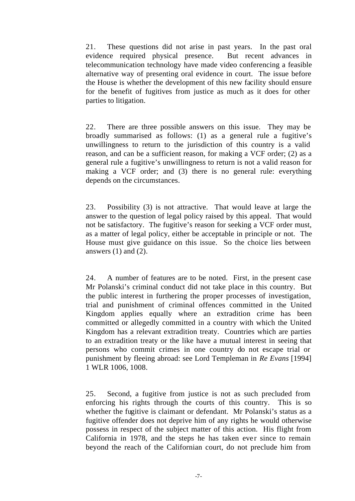21. These questions did not arise in past years. In the past oral evidence required physical presence. But recent advances in telecommunication technology have made video conferencing a feasible alternative way of presenting oral evidence in court. The issue before the House is whether the development of this new facility should ensure for the benefit of fugitives from justice as much as it does for other parties to litigation.

22. There are three possible answers on this issue. They may be broadly summarised as follows: (1) as a general rule a fugitive's unwillingness to return to the jurisdiction of this country is a valid reason, and can be a sufficient reason, for making a VCF order; (2) as a general rule a fugitive's unwillingness to return is not a valid reason for making a VCF order; and (3) there is no general rule: everything depends on the circumstances.

23. Possibility (3) is not attractive. That would leave at large the answer to the question of legal policy raised by this appeal. That would not be satisfactory. The fugitive's reason for seeking a VCF order must, as a matter of legal policy, either be acceptable in principle or not. The House must give guidance on this issue. So the choice lies between answers  $(1)$  and  $(2)$ .

24. A number of features are to be noted. First, in the present case Mr Polanski's criminal conduct did not take place in this country. But the public interest in furthering the proper processes of investigation, trial and punishment of criminal offences committed in the United Kingdom applies equally where an extradition crime has been committed or allegedly committed in a country with which the United Kingdom has a relevant extradition treaty. Countries which are parties to an extradition treaty or the like have a mutual interest in seeing that persons who commit crimes in one country do not escape trial or punishment by fleeing abroad: see Lord Templeman in *Re Evans* [1994] 1 WLR 1006, 1008.

25. Second, a fugitive from justice is not as such precluded from enforcing his rights through the courts of this country. This is so whether the fugitive is claimant or defendant. Mr Polanski's status as a fugitive offender does not deprive him of any rights he would otherwise possess in respect of the subject matter of this action. His flight from California in 1978, and the steps he has taken ever since to remain beyond the reach of the Californian court, do not preclude him from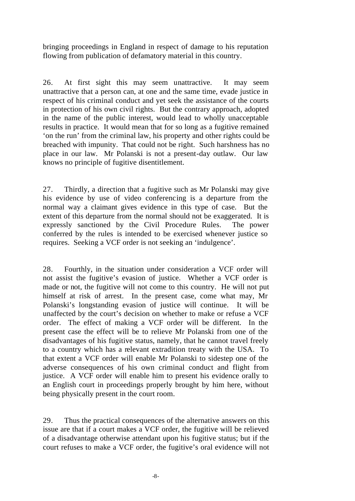bringing proceedings in England in respect of damage to his reputation flowing from publication of defamatory material in this country.

26. At first sight this may seem unattractive. It may seem unattractive that a person can, at one and the same time, evade justice in respect of his criminal conduct and yet seek the assistance of the courts in protection of his own civil rights. But the contrary approach, adopted in the name of the public interest, would lead to wholly unacceptable results in practice. It would mean that for so long as a fugitive remained 'on the run' from the criminal law, his property and other rights could be breached with impunity. That could not be right. Such harshness has no place in our law. Mr Polanski is not a present-day outlaw. Our law knows no principle of fugitive disentitlement.

27. Thirdly, a direction that a fugitive such as Mr Polanski may give his evidence by use of video conferencing is a departure from the normal way a claimant gives evidence in this type of case. But the extent of this departure from the normal should not be exaggerated. It is expressly sanctioned by the Civil Procedure Rules. The power conferred by the rules is intended to be exercised whenever justice so requires. Seeking a VCF order is not seeking an 'indulgence'.

28. Fourthly, in the situation under consideration a VCF order will not assist the fugitive's evasion of justice. Whether a VCF order is made or not, the fugitive will not come to this country. He will not put himself at risk of arrest. In the present case, come what may, Mr Polanski's longstanding evasion of justice will continue. It will be unaffected by the court's decision on whether to make or refuse a VCF order. The effect of making a VCF order will be different. In the present case the effect will be to relieve Mr Polanski from one of the disadvantages of his fugitive status, namely, that he cannot travel freely to a country which has a relevant extradition treaty with the USA. To that extent a VCF order will enable Mr Polanski to sidestep one of the adverse consequences of his own criminal conduct and flight from justice. A VCF order will enable him to present his evidence orally to an English court in proceedings properly brought by him here, without being physically present in the court room.

29. Thus the practical consequences of the alternative answers on this issue are that if a court makes a VCF order, the fugitive will be relieved of a disadvantage otherwise attendant upon his fugitive status; but if the court refuses to make a VCF order, the fugitive's oral evidence will not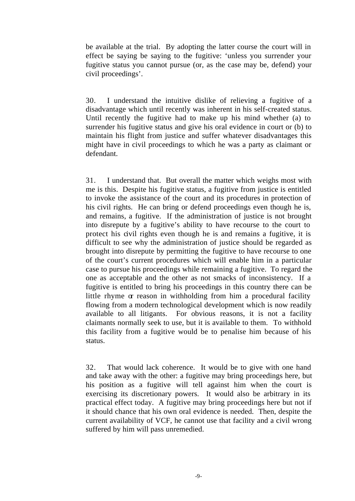be available at the trial. By adopting the latter course the court will in effect be saying be saying to the fugitive: 'unless you surrender your fugitive status you cannot pursue (or, as the case may be, defend) your civil proceedings'.

30. I understand the intuitive dislike of relieving a fugitive of a disadvantage which until recently was inherent in his self-created status. Until recently the fugitive had to make up his mind whether (a) to surrender his fugitive status and give his oral evidence in court or (b) to maintain his flight from justice and suffer whatever disadvantages this might have in civil proceedings to which he was a party as claimant or defendant.

31. I understand that. But overall the matter which weighs most with me is this. Despite his fugitive status, a fugitive from justice is entitled to invoke the assistance of the court and its procedures in protection of his civil rights. He can bring or defend proceedings even though he is, and remains, a fugitive. If the administration of justice is not brought into disrepute by a fugitive's ability to have recourse to the court to protect his civil rights even though he is and remains a fugitive, it is difficult to see why the administration of justice should be regarded as brought into disrepute by permitting the fugitive to have recourse to one of the court's current procedures which will enable him in a particular case to pursue his proceedings while remaining a fugitive. To regard the one as acceptable and the other as not smacks of inconsistency. If a fugitive is entitled to bring his proceedings in this country there can be little rhyme  $\alpha$  reason in withholding from him a procedural facility flowing from a modern technological development which is now readily available to all litigants. For obvious reasons, it is not a facility claimants normally seek to use, but it is available to them. To withhold this facility from a fugitive would be to penalise him because of his status.

32. That would lack coherence. It would be to give with one hand and take away with the other: a fugitive may bring proceedings here, but his position as a fugitive will tell against him when the court is exercising its discretionary powers. It would also be arbitrary in its practical effect today. A fugitive may bring proceedings here but not if it should chance that his own oral evidence is needed. Then, despite the current availability of VCF, he cannot use that facility and a civil wrong suffered by him will pass unremedied.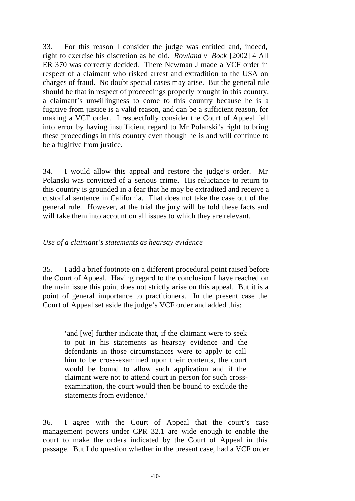33. For this reason I consider the judge was entitled and, indeed, right to exercise his discretion as he did. *Rowland v Bock* [2002] 4 All ER 370 was correctly decided. There Newman J made a VCF order in respect of a claimant who risked arrest and extradition to the USA on charges of fraud. No doubt special cases may arise. But the general rule should be that in respect of proceedings properly brought in this country, a claimant's unwillingness to come to this country because he is a fugitive from justice is a valid reason, and can be a sufficient reason, for making a VCF order. I respectfully consider the Court of Appeal fell into error by having insufficient regard to Mr Polanski's right to bring these proceedings in this country even though he is and will continue to be a fugitive from justice.

34. I would allow this appeal and restore the judge's order. Mr Polanski was convicted of a serious crime. His reluctance to return to this country is grounded in a fear that he may be extradited and receive a custodial sentence in California. That does not take the case out of the general rule. However, at the trial the jury will be told these facts and will take them into account on all issues to which they are relevant.

#### *Use of a claimant's statements as hearsay evidence*

35. I add a brief footnote on a different procedural point raised before the Court of Appeal. Having regard to the conclusion I have reached on the main issue this point does not strictly arise on this appeal. But it is a point of general importance to practitioners. In the present case the Court of Appeal set aside the judge's VCF order and added this:

'and [we] further indicate that, if the claimant were to seek to put in his statements as hearsay evidence and the defendants in those circumstances were to apply to call him to be cross-examined upon their contents, the court would be bound to allow such application and if the claimant were not to attend court in person for such crossexamination, the court would then be bound to exclude the statements from evidence.'

36. I agree with the Court of Appeal that the court's case management powers under CPR 32.1 are wide enough to enable the court to make the orders indicated by the Court of Appeal in this passage. But I do question whether in the present case, had a VCF order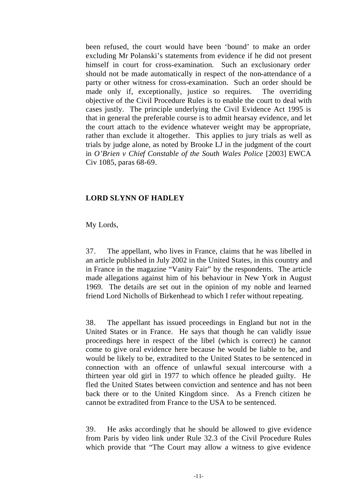been refused, the court would have been 'bound' to make an order excluding Mr Polanski's statements from evidence if he did not present himself in court for cross-examination. Such an exclusionary order should not be made automatically in respect of the non-attendance of a party or other witness for cross-examination. Such an order should be made only if, exceptionally, justice so requires. The overriding objective of the Civil Procedure Rules is to enable the court to deal with cases justly. The principle underlying the Civil Evidence Act 1995 is that in general the preferable course is to admit hearsay evidence, and let the court attach to the evidence whatever weight may be appropriate, rather than exclude it altogether. This applies to jury trials as well as trials by judge alone, as noted by Brooke LJ in the judgment of the court in *O'Brien v Chief Constable of the South Wales Police* [2003] EWCA Civ 1085, paras 68-69.

#### **LORD SLYNN OF HADLEY**

My Lords,

37. The appellant, who lives in France, claims that he was libelled in an article published in July 2002 in the United States, in this country and in France in the magazine "Vanity Fair" by the respondents. The article made allegations against him of his behaviour in New York in August 1969. The details are set out in the opinion of my noble and learned friend Lord Nicholls of Birkenhead to which I refer without repeating.

38. The appellant has issued proceedings in England but not in the United States or in France. He says that though he can validly issue proceedings here in respect of the libel (which is correct) he cannot come to give oral evidence here because he would be liable to be, and would be likely to be, extradited to the United States to be sentenced in connection with an offence of unlawful sexual intercourse with a thirteen year old girl in 1977 to which offence he pleaded guilty. He fled the United States between conviction and sentence and has not been back there or to the United Kingdom since. As a French citizen he cannot be extradited from France to the USA to be sentenced.

39. He asks accordingly that he should be allowed to give evidence from Paris by video link under Rule 32.3 of the Civil Procedure Rules which provide that "The Court may allow a witness to give evidence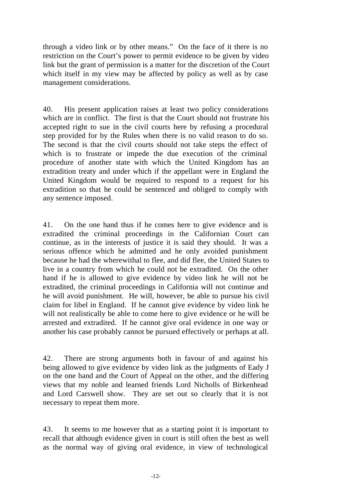through a video link or by other means." On the face of it there is no restriction on the Court's power to permit evidence to be given by video link but the grant of permission is a matter for the discretion of the Court which itself in my view may be affected by policy as well as by case management considerations.

40. His present application raises at least two policy considerations which are in conflict. The first is that the Court should not frustrate his accepted right to sue in the civil courts here by refusing a procedural step provided for by the Rules when there is no valid reason to do so. The second is that the civil courts should not take steps the effect of which is to frustrate or impede the due execution of the criminal procedure of another state with which the United Kingdom has an extradition treaty and under which if the appellant were in England the United Kingdom would be required to respond to a request for his extradition so that he could be sentenced and obliged to comply with any sentence imposed.

41. On the one hand thus if he comes here to give evidence and is extradited the criminal proceedings in the Californian Court can continue, as in the interests of justice it is said they should. It was a serious offence which he admitted and he only avoided punishment because he had the wherewithal to flee, and did flee, the United States to live in a country from which he could not be extradited. On the other hand if he is allowed to give evidence by video link he will not be extradited, the criminal proceedings in California will not continue and he will avoid punishment. He will, however, be able to pursue his civil claim for libel in England. If he cannot give evidence by video link he will not realistically be able to come here to give evidence or he will be arrested and extradited. If he cannot give oral evidence in one way or another his case probably cannot be pursued effectively or perhaps at all.

42. There are strong arguments both in favour of and against his being allowed to give evidence by video link as the judgments of Eady J on the one hand and the Court of Appeal on the other, and the differing views that my noble and learned friends Lord Nicholls of Birkenhead and Lord Carswell show. They are set out so clearly that it is not necessary to repeat them more.

43. It seems to me however that as a starting point it is important to recall that although evidence given in court is still often the best as well as the normal way of giving oral evidence, in view of technological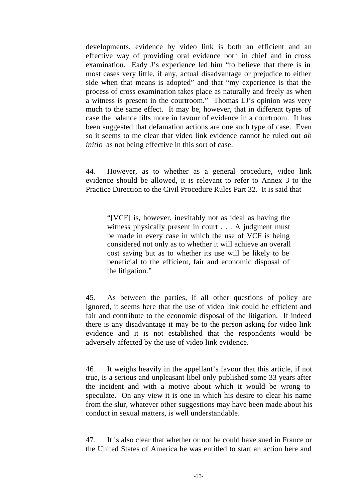developments, evidence by video link is both an efficient and an effective way of providing oral evidence both in chief and in cross examination. Eady J's experience led him "to believe that there is in most cases very little, if any, actual disadvantage or prejudice to either side when that means is adopted" and that "my experience is that the process of cross examination takes place as naturally and freely as when a witness is present in the courtroom." Thomas LJ's opinion was very much to the same effect. It may be, however, that in different types of case the balance tilts more in favour of evidence in a courtroom. It has been suggested that defamation actions are one such type of case. Even so it seems to me clear that video link evidence cannot be ruled out *ab initio* as not being effective in this sort of case.

44. However, as to whether as a general procedure, video link evidence should be allowed, it is relevant to refer to Annex 3 to the Practice Direction to the Civil Procedure Rules Part 32. It is said that

"[VCF] is, however, inevitably not as ideal as having the witness physically present in court . . . A judgment must be made in every case in which the use of VCF is being considered not only as to whether it will achieve an overall cost saving but as to whether its use will be likely to be beneficial to the efficient, fair and economic disposal of the litigation."

45. As between the parties, if all other questions of policy are ignored, it seems here that the use of video link could be efficient and fair and contribute to the economic disposal of the litigation. If indeed there is any disadvantage it may be to the person asking for video link evidence and it is not established that the respondents would be adversely affected by the use of video link evidence.

46. It weighs heavily in the appellant's favour that this article, if not true, is a serious and unpleasant libel only published some 33 years after the incident and with a motive about which it would be wrong to speculate. On any view it is one in which his desire to clear his name from the slur, whatever other suggestions may have been made about his conduct in sexual matters, is well understandable.

47. It is also clear that whether or not he could have sued in France or the United States of America he was entitled to start an action here and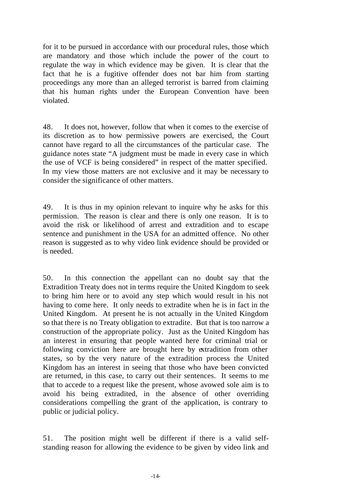for it to be pursued in accordance with our procedural rules, those which are mandatory and those which include the power of the court to regulate the way in which evidence may be given. It is clear that the fact that he is a fugitive offender does not bar him from starting proceedings any more than an alleged terrorist is barred from claiming that his human rights under the European Convention have been violated.

48. It does not, however, follow that when it comes to the exercise of its discretion as to how permissive powers are exercised, the Court cannot have regard to all the circumstances of the particular case. The guidance notes state "A judgment must be made in every case in which the use of VCF is being considered" in respect of the matter specified. In my view those matters are not exclusive and it may be necessary to consider the significance of other matters.

49. It is thus in my opinion relevant to inquire why he asks for this permission. The reason is clear and there is only one reason. It is to avoid the risk or likelihood of arrest and extradition and to escape sentence and punishment in the USA for an admitted offence. No other reason is suggested as to why video link evidence should be provided or is needed.

50. In this connection the appellant can no doubt say that the Extradition Treaty does not in terms require the United Kingdom to seek to bring him here or to avoid any step which would result in his not having to come here. It only needs to extradite when he is in fact in the United Kingdom. At present he is not actually in the United Kingdom so that there is no Treaty obligation to extradite. But that is too narrow a construction of the appropriate policy. Just as the United Kingdom has an interest in ensuring that people wanted here for criminal trial or following conviction here are brought here by extradition from other states, so by the very nature of the extradition process the United Kingdom has an interest in seeing that those who have been convicted are returned, in this case, to carry out their sentences. It seems to me that to accede to a request like the present, whose avowed sole aim is to avoid his being extradited, in the absence of other overriding considerations compelling the grant of the application, is contrary to public or judicial policy.

51. The position might well be different if there is a valid selfstanding reason for allowing the evidence to be given by video link and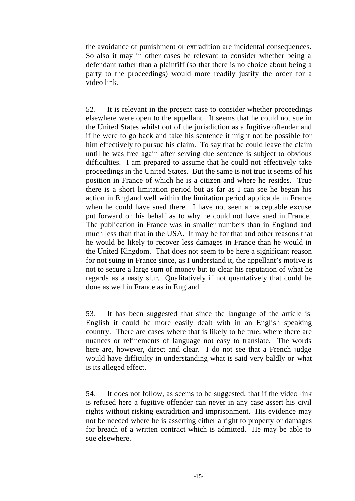the avoidance of punishment or extradition are incidental consequences. So also it may in other cases be relevant to consider whether being a defendant rather than a plaintiff (so that there is no choice about being a party to the proceedings) would more readily justify the order for a video link.

52. It is relevant in the present case to consider whether proceedings elsewhere were open to the appellant. It seems that he could not sue in the United States whilst out of the jurisdiction as a fugitive offender and if he were to go back and take his sentence it might not be possible for him effectively to pursue his claim. To say that he could leave the claim until he was free again after serving due sentence is subject to obvious difficulties. I am prepared to assume that he could not effectively take proceedings in the United States. But the same is not true it seems of his position in France of which he is a citizen and where he resides. True there is a short limitation period but as far as I can see he began his action in England well within the limitation period applicable in France when he could have sued there. I have not seen an acceptable excuse put forward on his behalf as to why he could not have sued in France. The publication in France was in smaller numbers than in England and much less than that in the USA. It may be for that and other reasons that he would be likely to recover less damages in France than he would in the United Kingdom. That does not seem to be here a significant reason for not suing in France since, as I understand it, the appellant's motive is not to secure a large sum of money but to clear his reputation of what he regards as a nasty slur. Qualitatively if not quantatively that could be done as well in France as in England.

53. It has been suggested that since the language of the article is English it could be more easily dealt with in an English speaking country. There are cases where that is likely to be true, where there are nuances or refinements of language not easy to translate. The words here are, however, direct and clear. I do not see that a French judge would have difficulty in understanding what is said very baldly or what is its alleged effect.

54. It does not follow, as seems to be suggested, that if the video link is refused here a fugitive offender can never in any case assert his civil rights without risking extradition and imprisonment. His evidence may not be needed where he is asserting either a right to property or damages for breach of a written contract which is admitted. He may be able to sue elsewhere.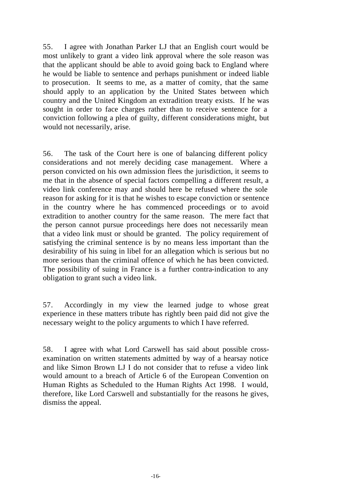55. I agree with Jonathan Parker LJ that an English court would be most unlikely to grant a video link approval where the sole reason was that the applicant should be able to avoid going back to England where he would be liable to sentence and perhaps punishment or indeed liable to prosecution. It seems to me, as a matter of comity, that the same should apply to an application by the United States between which country and the United Kingdom an extradition treaty exists. If he was sought in order to face charges rather than to receive sentence for a conviction following a plea of guilty, different considerations might, but would not necessarily, arise.

56. The task of the Court here is one of balancing different policy considerations and not merely deciding case management. Where a person convicted on his own admission flees the jurisdiction, it seems to me that in the absence of special factors compelling a different result, a video link conference may and should here be refused where the sole reason for asking for it is that he wishes to escape conviction or sentence in the country where he has commenced proceedings or to avoid extradition to another country for the same reason. The mere fact that the person cannot pursue proceedings here does not necessarily mean that a video link must or should be granted. The policy requirement of satisfying the criminal sentence is by no means less important than the desirability of his suing in libel for an allegation which is serious but no more serious than the criminal offence of which he has been convicted. The possibility of suing in France is a further contra-indication to any obligation to grant such a video link.

57. Accordingly in my view the learned judge to whose great experience in these matters tribute has rightly been paid did not give the necessary weight to the policy arguments to which I have referred.

58. I agree with what Lord Carswell has said about possible crossexamination on written statements admitted by way of a hearsay notice and like Simon Brown LJ I do not consider that to refuse a video link would amount to a breach of Article 6 of the European Convention on Human Rights as Scheduled to the Human Rights Act 1998. I would, therefore, like Lord Carswell and substantially for the reasons he gives, dismiss the appeal.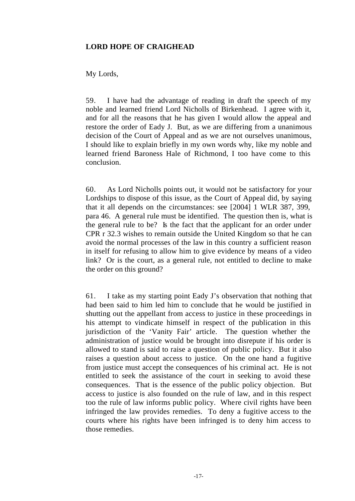#### **LORD HOPE OF CRAIGHEAD**

#### My Lords,

59. I have had the advantage of reading in draft the speech of my noble and learned friend Lord Nicholls of Birkenhead. I agree with it, and for all the reasons that he has given I would allow the appeal and restore the order of Eady J. But, as we are differing from a unanimous decision of the Court of Appeal and as we are not ourselves unanimous, I should like to explain briefly in my own words why, like my noble and learned friend Baroness Hale of Richmond, I too have come to this conclusion.

60. As Lord Nicholls points out, it would not be satisfactory for your Lordships to dispose of this issue, as the Court of Appeal did, by saying that it all depends on the circumstances: see [2004] 1 WLR 387, 399, para 46. A general rule must be identified. The question then is, what is the general rule to be? Is the fact that the applicant for an order under CPR r 32.3 wishes to remain outside the United Kingdom so that he can avoid the normal processes of the law in this country a sufficient reason in itself for refusing to allow him to give evidence by means of a video link? Or is the court, as a general rule, not entitled to decline to make the order on this ground?

61. I take as my starting point Eady J's observation that nothing that had been said to him led him to conclude that he would be justified in shutting out the appellant from access to justice in these proceedings in his attempt to vindicate himself in respect of the publication in this jurisdiction of the 'Vanity Fair' article. The question whether the administration of justice would be brought into disrepute if his order is allowed to stand is said to raise a question of public policy. But it also raises a question about access to justice. On the one hand a fugitive from justice must accept the consequences of his criminal act. He is not entitled to seek the assistance of the court in seeking to avoid these consequences. That is the essence of the public policy objection. But access to justice is also founded on the rule of law, and in this respect too the rule of law informs public policy. Where civil rights have been infringed the law provides remedies. To deny a fugitive access to the courts where his rights have been infringed is to deny him access to those remedies.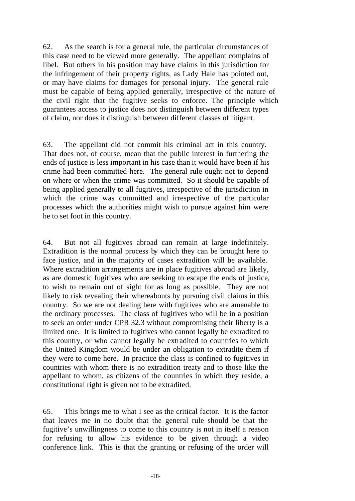62. As the search is for a general rule, the particular circumstances of this case need to be viewed more generally. The appellant complains of libel. But others in his position may have claims in this jurisdiction for the infringement of their property rights, as Lady Hale has pointed out, or may have claims for damages for personal injury. The general rule must be capable of being applied generally, irrespective of the nature of the civil right that the fugitive seeks to enforce. The principle which guarantees access to justice does not distinguish between different types of claim, nor does it distinguish between different classes of litigant.

63. The appellant did not commit his criminal act in this country. That does not, of course, mean that the public interest in furthering the ends of justice is less important in his case than it would have been if his crime had been committed here. The general rule ought not to depend on where or when the crime was committed. So it should be capable of being applied generally to all fugitives, irrespective of the jurisdiction in which the crime was committed and irrespective of the particular processes which the authorities might wish to pursue against him were he to set foot in this country.

64. But not all fugitives abroad can remain at large indefinitely. Extradition is the normal process by which they can be brought here to face justice, and in the majority of cases extradition will be available. Where extradition arrangements are in place fugitives abroad are likely, as are domestic fugitives who are seeking to escape the ends of justice, to wish to remain out of sight for as long as possible. They are not likely to risk revealing their whereabouts by pursuing civil claims in this country. So we are not dealing here with fugitives who are amenable to the ordinary processes. The class of fugitives who will be in a position to seek an order under CPR 32.3 without compromising their liberty is a limited one. It is limited to fugitives who cannot legally be extradited to this country, or who cannot legally be extradited to countries to which the United Kingdom would be under an obligation to extradite them if they were to come here. In practice the class is confined to fugitives in countries with whom there is no extradition treaty and to those like the appellant to whom, as citizens of the countries in which they reside, a constitutional right is given not to be extradited.

65. This brings me to what I see as the critical factor. It is the factor that leaves me in no doubt that the general rule should be that the fugitive's unwillingness to come to this country is not in itself a reason for refusing to allow his evidence to be given through a video conference link. This is that the granting or refusing of the order will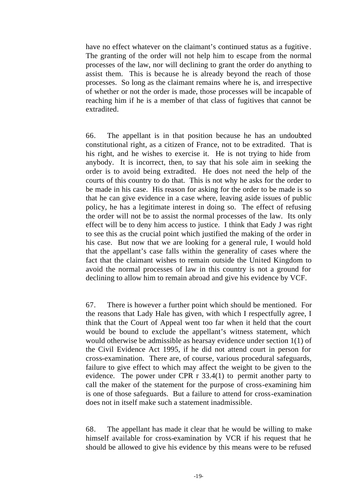have no effect whatever on the claimant's continued status as a fugitive . The granting of the order will not help him to escape from the normal processes of the law, nor will declining to grant the order do anything to assist them. This is because he is already beyond the reach of those processes. So long as the claimant remains where he is, and irrespective of whether or not the order is made, those processes will be incapable of reaching him if he is a member of that class of fugitives that cannot be extradited.

66. The appellant is in that position because he has an undoubted constitutional right, as a citizen of France, not to be extradited. That is his right, and he wishes to exercise it. He is not trying to hide from anybody. It is incorrect, then, to say that his sole aim in seeking the order is to avoid being extradited. He does not need the help of the courts of this country to do that. This is not why he asks for the order to be made in his case. His reason for asking for the order to be made is so that he can give evidence in a case where, leaving aside issues of public policy, he has a legitimate interest in doing so. The effect of refusing the order will not be to assist the normal processes of the law. Its only effect will be to deny him access to justice. I think that Eady J was right to see this as the crucial point which justified the making of the order in his case. But now that we are looking for a general rule, I would hold that the appellant's case falls within the generality of cases where the fact that the claimant wishes to remain outside the United Kingdom to avoid the normal processes of law in this country is not a ground for declining to allow him to remain abroad and give his evidence by VCF.

67. There is however a further point which should be mentioned. For the reasons that Lady Hale has given, with which I respectfully agree, I think that the Court of Appeal went too far when it held that the court would be bound to exclude the appellant's witness statement, which would otherwise be admissible as hearsay evidence under section 1(1) of the Civil Evidence Act 1995, if he did not attend court in person for cross-examination. There are, of course, various procedural safeguards, failure to give effect to which may affect the weight to be given to the evidence. The power under CPR r 33.4(1) to permit another party to call the maker of the statement for the purpose of cross-examining him is one of those safeguards. But a failure to attend for cross-examination does not in itself make such a statement inadmissible.

68. The appellant has made it clear that he would be willing to make himself available for cross-examination by VCR if his request that he should be allowed to give his evidence by this means were to be refused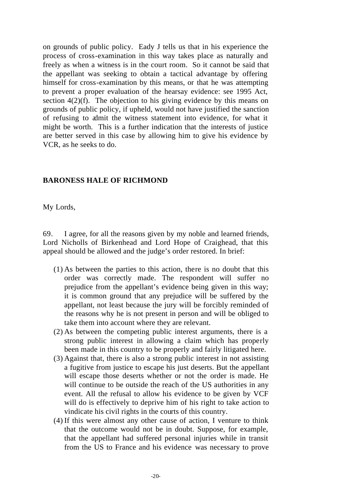on grounds of public policy. Eady J tells us that in his experience the process of cross-examination in this way takes place as naturally and freely as when a witness is in the court room. So it cannot be said that the appellant was seeking to obtain a tactical advantage by offering himself for cross-examination by this means, or that he was attempting to prevent a proper evaluation of the hearsay evidence: see 1995 Act, section  $4(2)(f)$ . The objection to his giving evidence by this means on grounds of public policy, if upheld, would not have justified the sanction of refusing to admit the witness statement into evidence, for what it might be worth. This is a further indication that the interests of justice are better served in this case by allowing him to give his evidence by VCR, as he seeks to do.

#### **BARONESS HALE OF RICHMOND**

My Lords,

69. I agree, for all the reasons given by my noble and learned friends, Lord Nicholls of Birkenhead and Lord Hope of Craighead, that this appeal should be allowed and the judge's order restored. In brief:

- (1) As between the parties to this action, there is no doubt that this order was correctly made. The respondent will suffer no prejudice from the appellant's evidence being given in this way; it is common ground that any prejudice will be suffered by the appellant, not least because the jury will be forcibly reminded of the reasons why he is not present in person and will be obliged to take them into account where they are relevant.
- (2) As between the competing public interest arguments, there is a strong public interest in allowing a claim which has properly been made in this country to be properly and fairly litigated here.
- (3) Against that, there is also a strong public interest in not assisting a fugitive from justice to escape his just deserts. But the appellant will escape those deserts whether or not the order is made. He will continue to be outside the reach of the US authorities in any event. All the refusal to allow his evidence to be given by VCF will do is effectively to deprive him of his right to take action to vindicate his civil rights in the courts of this country.
- (4) If this were almost any other cause of action, I venture to think that the outcome would not be in doubt. Suppose, for example, that the appellant had suffered personal injuries while in transit from the US to France and his evidence was necessary to prove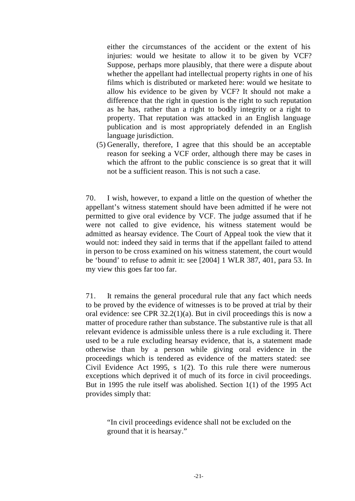either the circumstances of the accident or the extent of his injuries: would we hesitate to allow it to be given by VCF? Suppose, perhaps more plausibly, that there were a dispute about whether the appellant had intellectual property rights in one of his films which is distributed or marketed here: would we hesitate to allow his evidence to be given by VCF? It should not make a difference that the right in question is the right to such reputation as he has, rather than a right to bodily integrity or a right to property. That reputation was attacked in an English language publication and is most appropriately defended in an English language jurisdiction.

(5) Generally, therefore, I agree that this should be an acceptable reason for seeking a VCF order, although there may be cases in which the affront to the public conscience is so great that it will not be a sufficient reason. This is not such a case.

70. I wish, however, to expand a little on the question of whether the appellant's witness statement should have been admitted if he were not permitted to give oral evidence by VCF. The judge assumed that if he were not called to give evidence, his witness statement would be admitted as hearsay evidence. The Court of Appeal took the view that it would not: indeed they said in terms that if the appellant failed to attend in person to be cross examined on his witness statement, the court would be 'bound' to refuse to admit it: see [2004] 1 WLR 387, 401, para 53. In my view this goes far too far.

71. It remains the general procedural rule that any fact which needs to be proved by the evidence of witnesses is to be proved at trial by their oral evidence: see CPR 32.2(1)(a). But in civil proceedings this is now a matter of procedure rather than substance. The substantive rule is that all relevant evidence is admissible unless there is a rule excluding it. There used to be a rule excluding hearsay evidence, that is, a statement made otherwise than by a person while giving oral evidence in the proceedings which is tendered as evidence of the matters stated: see Civil Evidence Act 1995, s 1(2). To this rule there were numerous exceptions which deprived it of much of its force in civil proceedings. But in 1995 the rule itself was abolished. Section 1(1) of the 1995 Act provides simply that:

"In civil proceedings evidence shall not be excluded on the ground that it is hearsay."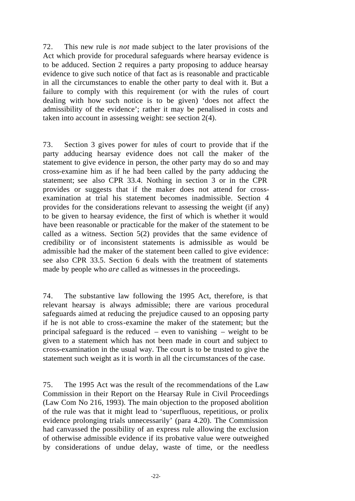72. This new rule is *not* made subject to the later provisions of the Act which provide for procedural safeguards where hearsay evidence is to be adduced. Section 2 requires a party proposing to adduce hearsay evidence to give such notice of that fact as is reasonable and practicable in all the circumstances to enable the other party to deal with it. But a failure to comply with this requirement (or with the rules of court dealing with how such notice is to be given) 'does not affect the admissibility of the evidence'; rather it may be penalised in costs and taken into account in assessing weight: see section 2(4).

73. Section 3 gives power for rules of court to provide that if the party adducing hearsay evidence does not call the maker of the statement to give evidence in person, the other party may do so and may cross-examine him as if he had been called by the party adducing the statement; see also CPR 33.4. Nothing in section 3 or in the CPR provides or suggests that if the maker does not attend for crossexamination at trial his statement becomes inadmissible. Section 4 provides for the considerations relevant to assessing the weight (if any) to be given to hearsay evidence, the first of which is whether it would have been reasonable or practicable for the maker of the statement to be called as a witness. Section 5(2) provides that the same evidence of credibility or of inconsistent statements is admissible as would be admissible had the maker of the statement been called to give evidence: see also CPR 33.5. Section 6 deals with the treatment of statements made by people who *are* called as witnesses in the proceedings.

74. The substantive law following the 1995 Act, therefore, is that relevant hearsay is always admissible; there are various procedural safeguards aimed at reducing the prejudice caused to an opposing party if he is not able to cross-examine the maker of the statement; but the principal safeguard is the reduced – even to vanishing – weight to be given to a statement which has not been made in court and subject to cross-examination in the usual way. The court is to be trusted to give the statement such weight as it is worth in all the circumstances of the case.

75. The 1995 Act was the result of the recommendations of the Law Commission in their Report on the Hearsay Rule in Civil Proceedings (Law Com No 216, 1993). The main objection to the proposed abolition of the rule was that it might lead to 'superfluous, repetitious, or prolix evidence prolonging trials unnecessarily' (para 4.20). The Commission had canvassed the possibility of an express rule allowing the exclusion of otherwise admissible evidence if its probative value were outweighed by considerations of undue delay, waste of time, or the needless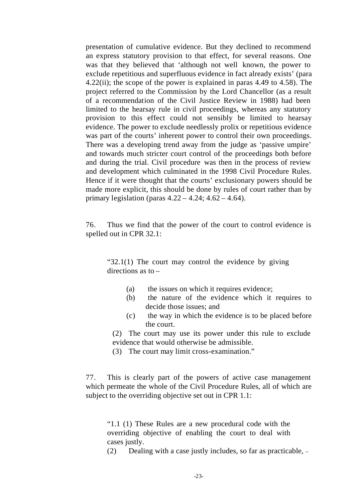presentation of cumulative evidence. But they declined to recommend an express statutory provision to that effect, for several reasons. One was that they believed that 'although not well known, the power to exclude repetitious and superfluous evidence in fact already exists' (para 4.22(ii); the scope of the power is explained in paras 4.49 to 4.58). The project referred to the Commission by the Lord Chancellor (as a result of a recommendation of the Civil Justice Review in 1988) had been limited to the hearsay rule in civil proceedings, whereas any statutory provision to this effect could not sensibly be limited to hearsay evidence. The power to exclude needlessly prolix or repetitious evidence was part of the courts' inherent power to control their own proceedings. There was a developing trend away from the judge as 'passive umpire' and towards much stricter court control of the proceedings both before and during the trial. Civil procedure was then in the process of review and development which culminated in the 1998 Civil Procedure Rules. Hence if it were thought that the courts' exclusionary powers should be made more explicit, this should be done by rules of court rather than by primary legislation (paras  $4.22 - 4.24$ ;  $4.62 - 4.64$ ).

76. Thus we find that the power of the court to control evidence is spelled out in CPR 32.1:

"32.1(1) The court may control the evidence by giving directions as to –

- (a) the issues on which it requires evidence;
- (b) the nature of the evidence which it requires to decide those issues; and
- (c) the way in which the evidence is to be placed before the court.

(2) The court may use its power under this rule to exclude evidence that would otherwise be admissible.

(3) The court may limit cross-examination."

77. This is clearly part of the powers of active case management which permeate the whole of the Civil Procedure Rules, all of which are subject to the overriding objective set out in CPR 1.1:

"1.1 (1) These Rules are a new procedural code with the overriding objective of enabling the court to deal with cases justly.

(2) Dealing with a case justly includes, so far as practicable, –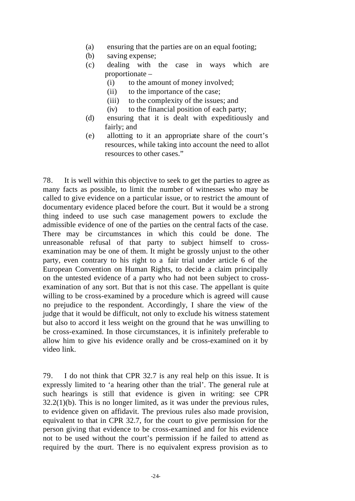- (a) ensuring that the parties are on an equal footing;
- (b) saving expense;
- (c) dealing with the case in ways which are proportionate –
	- (i) to the amount of money involved;
	- (ii) to the importance of the case;
	- (iii) to the complexity of the issues; and
	- (iv) to the financial position of each party;
- (d) ensuring that it is dealt with expeditiously and fairly; and
- (e) allotting to it an appropriate share of the court's resources, while taking into account the need to allot resources to other cases."

78. It is well within this objective to seek to get the parties to agree as many facts as possible, to limit the number of witnesses who may be called to give evidence on a particular issue, or to restrict the amount of documentary evidence placed before the court. But it would be a strong thing indeed to use such case management powers to exclude the admissible evidence of one of the parties on the central facts of the case. There may be circumstances in which this could be done. The unreasonable refusal of that party to subject himself to crossexamination may be one of them. It might be grossly unjust to the other party, even contrary to his right to a fair trial under article 6 of the European Convention on Human Rights, to decide a claim principally on the untested evidence of a party who had not been subject to crossexamination of any sort. But that is not this case. The appellant is quite willing to be cross-examined by a procedure which is agreed will cause no prejudice to the respondent. Accordingly, I share the view of the judge that it would be difficult, not only to exclude his witness statement but also to accord it less weight on the ground that he was unwilling to be cross-examined. In those circumstances, it is infinitely preferable to allow him to give his evidence orally and be cross-examined on it by video link.

79. I do not think that CPR 32.7 is any real help on this issue. It is expressly limited to 'a hearing other than the trial'. The general rule at such hearings is still that evidence is given in writing: see CPR  $32.2(1)(b)$ . This is no longer limited, as it was under the previous rules, to evidence given on affidavit. The previous rules also made provision, equivalent to that in CPR 32.7, for the court to give permission for the person giving that evidence to be cross-examined and for his evidence not to be used without the court's permission if he failed to attend as required by the court. There is no equivalent express provision as to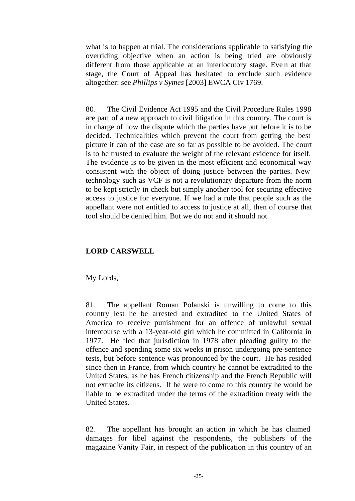what is to happen at trial. The considerations applicable to satisfying the overriding objective when an action is being tried are obviously different from those applicable at an interlocutory stage. Eve n at that stage, the Court of Appeal has hesitated to exclude such evidence altogether: see *Phillips v Symes* [2003] EWCA Civ 1769.

80. The Civil Evidence Act 1995 and the Civil Procedure Rules 1998 are part of a new approach to civil litigation in this country. The court is in charge of how the dispute which the parties have put before it is to be decided. Technicalities which prevent the court from getting the best picture it can of the case are so far as possible to be avoided. The court is to be trusted to evaluate the weight of the relevant evidence for itself. The evidence is to be given in the most efficient and economical way consistent with the object of doing justice between the parties. New technology such as VCF is not a revolutionary departure from the norm to be kept strictly in check but simply another tool for securing effective access to justice for everyone. If we had a rule that people such as the appellant were not entitled to access to justice at all, then of course that tool should be denied him. But we do not and it should not.

#### **LORD CARSWELL**

My Lords,

81. The appellant Roman Polanski is unwilling to come to this country lest he be arrested and extradited to the United States of America to receive punishment for an offence of unlawful sexual intercourse with a 13-year-old girl which he committed in California in 1977. He fled that jurisdiction in 1978 after pleading guilty to the offence and spending some six weeks in prison undergoing pre-sentence tests, but before sentence was pronounced by the court. He has resided since then in France, from which country he cannot be extradited to the United States, as he has French citizenship and the French Republic will not extradite its citizens. If he were to come to this country he would be liable to be extradited under the terms of the extradition treaty with the United States.

82. The appellant has brought an action in which he has claimed damages for libel against the respondents, the publishers of the magazine Vanity Fair, in respect of the publication in this country of an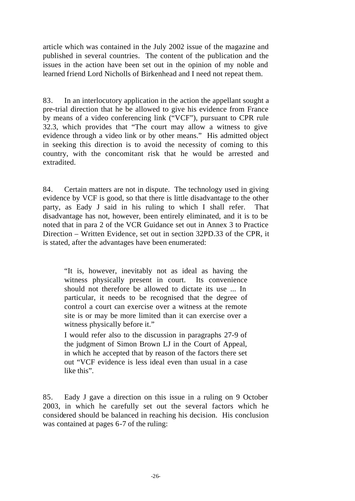article which was contained in the July 2002 issue of the magazine and published in several countries. The content of the publication and the issues in the action have been set out in the opinion of my noble and learned friend Lord Nicholls of Birkenhead and I need not repeat them.

83. In an interlocutory application in the action the appellant sought a pre-trial direction that he be allowed to give his evidence from France by means of a video conferencing link ("VCF"), pursuant to CPR rule 32.3, which provides that "The court may allow a witness to give evidence through a video link or by other means." His admitted object in seeking this direction is to avoid the necessity of coming to this country, with the concomitant risk that he would be arrested and extradited.

84. Certain matters are not in dispute. The technology used in giving evidence by VCF is good, so that there is little disadvantage to the other party, as Eady J said in his ruling to which I shall refer. That disadvantage has not, however, been entirely eliminated, and it is to be noted that in para 2 of the VCR Guidance set out in Annex 3 to Practice Direction – Written Evidence, set out in section 32PD.33 of the CPR, it is stated, after the advantages have been enumerated:

"It is, however, inevitably not as ideal as having the witness physically present in court. Its convenience should not therefore be allowed to dictate its use ... In particular, it needs to be recognised that the degree of control a court can exercise over a witness at the remote site is or may be more limited than it can exercise over a witness physically before it."

I would refer also to the discussion in paragraphs 27-9 of the judgment of Simon Brown LJ in the Court of Appeal, in which he accepted that by reason of the factors there set out "VCF evidence is less ideal even than usual in a case like this".

85. Eady J gave a direction on this issue in a ruling on 9 October 2003, in which he carefully set out the several factors which he considered should be balanced in reaching his decision. His conclusion was contained at pages 6-7 of the ruling: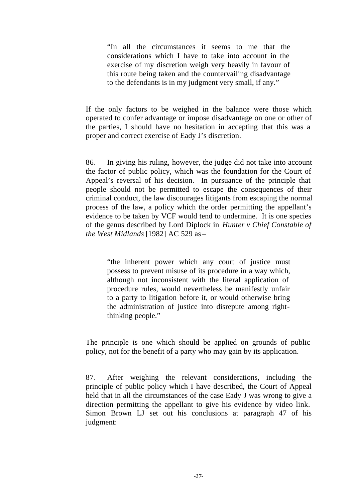"In all the circumstances it seems to me that the considerations which I have to take into account in the exercise of my discretion weigh very heavily in favour of this route being taken and the countervailing disadvantage to the defendants is in my judgment very small, if any."

If the only factors to be weighed in the balance were those which operated to confer advantage or impose disadvantage on one or other of the parties, I should have no hesitation in accepting that this was a proper and correct exercise of Eady J's discretion.

86. In giving his ruling, however, the judge did not take into account the factor of public policy, which was the foundation for the Court of Appeal's reversal of his decision. In pursuance of the principle that people should not be permitted to escape the consequences of their criminal conduct, the law discourages litigants from escaping the normal process of the law, a policy which the order permitting the appellant's evidence to be taken by VCF would tend to undermine. It is one species of the genus described by Lord Diplock in *Hunter v Chief Constable of the West Midlands* [1982] AC 529 as –

"the inherent power which any court of justice must possess to prevent misuse of its procedure in a way which, although not inconsistent with the literal application of procedure rules, would nevertheless be manifestly unfair to a party to litigation before it, or would otherwise bring the administration of justice into disrepute among rightthinking people."

The principle is one which should be applied on grounds of public policy, not for the benefit of a party who may gain by its application.

87. After weighing the relevant considerations, including the principle of public policy which I have described, the Court of Appeal held that in all the circumstances of the case Eady J was wrong to give a direction permitting the appellant to give his evidence by video link. Simon Brown LJ set out his conclusions at paragraph 47 of his judgment: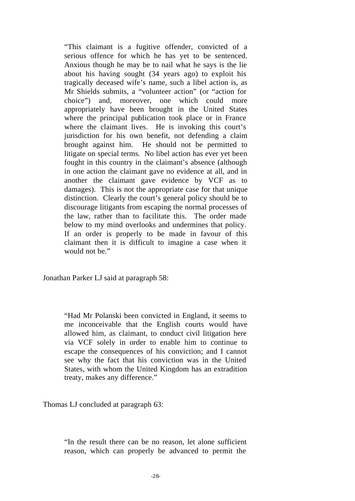"This claimant is a fugitive offender, convicted of a serious offence for which he has yet to be sentenced. Anxious though he may be to nail what he says is the lie about his having sought (34 years ago) to exploit his tragically deceased wife's name, such a libel action is, as Mr Shields submits, a "volunteer action" (or "action for choice") and, moreover, one which could more appropriately have been brought in the United States where the principal publication took place or in France where the claimant lives. He is invoking this court's jurisdiction for his own benefit, not defending a claim brought against him. He should not be permitted to litigate on special terms. No libel action has ever yet been fought in this country in the claimant's absence (although in one action the claimant gave no evidence at all, and in another the claimant gave evidence by VCF as to damages). This is not the appropriate case for that unique distinction. Clearly the court's general policy should be to discourage litigants from escaping the normal processes of the law, rather than to facilitate this. The order made below to my mind overlooks and undermines that policy. If an order is properly to be made in favour of this claimant then it is difficult to imagine a case when it would not be."

Jonathan Parker LJ said at paragraph 58:

"Had Mr Polanski been convicted in England, it seems to me inconceivable that the English courts would have allowed him, as claimant, to conduct civil litigation here via VCF solely in order to enable him to continue to escape the consequences of his conviction; and I cannot see why the fact that his conviction was in the United States, with whom the United Kingdom has an extradition treaty, makes any difference."

Thomas LJ concluded at paragraph 63:

"In the result there can be no reason, let alone sufficient reason, which can properly be advanced to permit the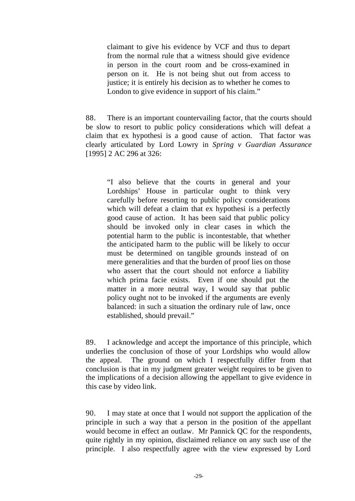claimant to give his evidence by VCF and thus to depart from the normal rule that a witness should give evidence in person in the court room and be cross-examined in person on it. He is not being shut out from access to justice; it is entirely his decision as to whether he comes to London to give evidence in support of his claim."

88. There is an important countervailing factor, that the courts should be slow to resort to public policy considerations which will defeat a claim that ex hypothesi is a good cause of action. That factor was clearly articulated by Lord Lowry in *Spring v Guardian Assurance* [1995] 2 AC 296 at 326:

"I also believe that the courts in general and your Lordships' House in particular ought to think very carefully before resorting to public policy considerations which will defeat a claim that ex hypothesi is a perfectly good cause of action. It has been said that public policy should be invoked only in clear cases in which the potential harm to the public is incontestable, that whether the anticipated harm to the public will be likely to occur must be determined on tangible grounds instead of on mere generalities and that the burden of proof lies on those who assert that the court should not enforce a liability which prima facie exists. Even if one should put the matter in a more neutral way, I would say that public policy ought not to be invoked if the arguments are evenly balanced: in such a situation the ordinary rule of law, once established, should prevail."

89. I acknowledge and accept the importance of this principle, which underlies the conclusion of those of your Lordships who would allow the appeal. The ground on which I respectfully differ from that conclusion is that in my judgment greater weight requires to be given to the implications of a decision allowing the appellant to give evidence in this case by video link.

90. I may state at once that I would not support the application of the principle in such a way that a person in the position of the appellant would become in effect an outlaw. Mr Pannick QC for the respondents, quite rightly in my opinion, disclaimed reliance on any such use of the principle. I also respectfully agree with the view expressed by Lord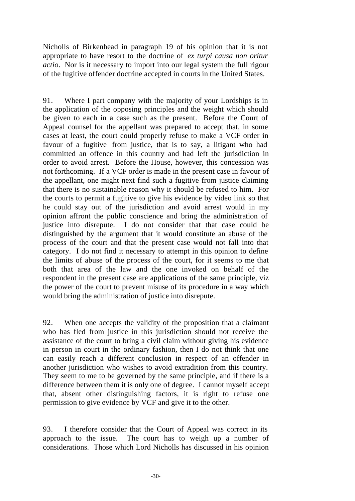Nicholls of Birkenhead in paragraph 19 of his opinion that it is not appropriate to have resort to the doctrine of *ex turpi causa non oritur actio*. Nor is it necessary to import into our legal system the full rigour of the fugitive offender doctrine accepted in courts in the United States.

91. Where I part company with the majority of your Lordships is in the application of the opposing principles and the weight which should be given to each in a case such as the present. Before the Court of Appeal counsel for the appellant was prepared to accept that, in some cases at least, the court could properly refuse to make a VCF order in favour of a fugitive from justice, that is to say, a litigant who had committed an offence in this country and had left the jurisdiction in order to avoid arrest. Before the House, however, this concession was not forthcoming. If a VCF order is made in the present case in favour of the appellant, one might next find such a fugitive from justice claiming that there is no sustainable reason why it should be refused to him. For the courts to permit a fugitive to give his evidence by video link so that he could stay out of the jurisdiction and avoid arrest would in my opinion affront the public conscience and bring the administration of justice into disrepute. I do not consider that that case could be distinguished by the argument that it would constitute an abuse of the process of the court and that the present case would not fall into that category. I do not find it necessary to attempt in this opinion to define the limits of abuse of the process of the court, for it seems to me that both that area of the law and the one invoked on behalf of the respondent in the present case are applications of the same principle, viz the power of the court to prevent misuse of its procedure in a way which would bring the administration of justice into disrepute.

92. When one accepts the validity of the proposition that a claimant who has fled from justice in this jurisdiction should not receive the assistance of the court to bring a civil claim without giving his evidence in person in court in the ordinary fashion, then I do not think that one can easily reach a different conclusion in respect of an offender in another jurisdiction who wishes to avoid extradition from this country. They seem to me to be governed by the same principle, and if there is a difference between them it is only one of degree. I cannot myself accept that, absent other distinguishing factors, it is right to refuse one permission to give evidence by VCF and give it to the other.

93. I therefore consider that the Court of Appeal was correct in its approach to the issue. The court has to weigh up a number of considerations. Those which Lord Nicholls has discussed in his opinion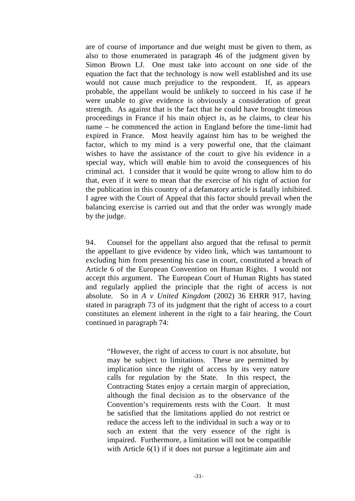are of course of importance and due weight must be given to them, as also to those enumerated in paragraph 46 of the judgment given by Simon Brown LJ. One must take into account on one side of the equation the fact that the technology is now well established and its use would not cause much prejudice to the respondent. If, as appears probable, the appellant would be unlikely to succeed in his case if he were unable to give evidence is obviously a consideration of great strength. As against that is the fact that he could have brought timeous proceedings in France if his main object is, as he claims, to clear his name – he commenced the action in England before the time-limit had expired in France. Most heavily against him has to be weighed the factor, which to my mind is a very powerful one, that the claimant wishes to have the assistance of the court to give his evidence in a special way, which will enable him to avoid the consequences of his criminal act. I consider that it would be quite wrong to allow him to do that, even if it were to mean that the exercise of his right of action for the publication in this country of a defamatory article is fatally inhibited. I agree with the Court of Appeal that this factor should prevail when the balancing exercise is carried out and that the order was wrongly made by the judge.

94. Counsel for the appellant also argued that the refusal to permit the appellant to give evidence by video link, which was tantamount to excluding him from presenting his case in court, constituted a breach of Article 6 of the European Convention on Human Rights. I would not accept this argument. The European Court of Human Rights has stated and regularly applied the principle that the right of access is not absolute. So in *A v United Kingdom* (2002) 36 EHRR 917, having stated in paragraph 73 of its judgment that the right of access to a court constitutes an element inherent in the right to a fair hearing, the Court continued in paragraph 74:

"However, the right of access to court is not absolute, but may be subject to limitations. These are permitted by implication since the right of access by its very nature calls for regulation by the State. In this respect, the Contracting States enjoy a certain margin of appreciation, although the final decision as to the observance of the Convention's requirements rests with the Court. It must be satisfied that the limitations applied do not restrict or reduce the access left to the individual in such a way or to such an extent that the very essence of the right is impaired. Furthermore, a limitation will not be compatible with Article 6(1) if it does not pursue a legitimate aim and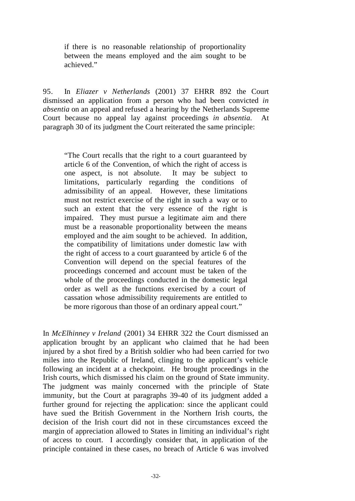if there is no reasonable relationship of proportionality between the means employed and the aim sought to be achieved."

95. In *Eliazer v Netherlands* (2001) 37 EHRR 892 the Court dismissed an application from a person who had been convicted *in absentia* on an appeal and refused a hearing by the Netherlands Supreme Court because no appeal lay against proceedings *in absentia.* At paragraph 30 of its judgment the Court reiterated the same principle:

"The Court recalls that the right to a court guaranteed by article 6 of the Convention, of which the right of access is one aspect, is not absolute. It may be subject to limitations, particularly regarding the conditions of admissibility of an appeal. However, these limitations must not restrict exercise of the right in such a way or to such an extent that the very essence of the right is impaired. They must pursue a legitimate aim and there must be a reasonable proportionality between the means employed and the aim sought to be achieved. In addition, the compatibility of limitations under domestic law with the right of access to a court guaranteed by article 6 of the Convention will depend on the special features of the proceedings concerned and account must be taken of the whole of the proceedings conducted in the domestic legal order as well as the functions exercised by a court of cassation whose admissibility requirements are entitled to be more rigorous than those of an ordinary appeal court."

In *McElhinney v Ireland* (2001) 34 EHRR 322 the Court dismissed an application brought by an applicant who claimed that he had been injured by a shot fired by a British soldier who had been carried for two miles into the Republic of Ireland, clinging to the applicant's vehicle following an incident at a checkpoint. He brought proceedings in the Irish courts, which dismissed his claim on the ground of State immunity. The judgment was mainly concerned with the principle of State immunity, but the Court at paragraphs 39-40 of its judgment added a further ground for rejecting the application: since the applicant could have sued the British Government in the Northern Irish courts, the decision of the Irish court did not in these circumstances exceed the margin of appreciation allowed to States in limiting an individual's right of access to court. I accordingly consider that, in application of the principle contained in these cases, no breach of Article 6 was involved